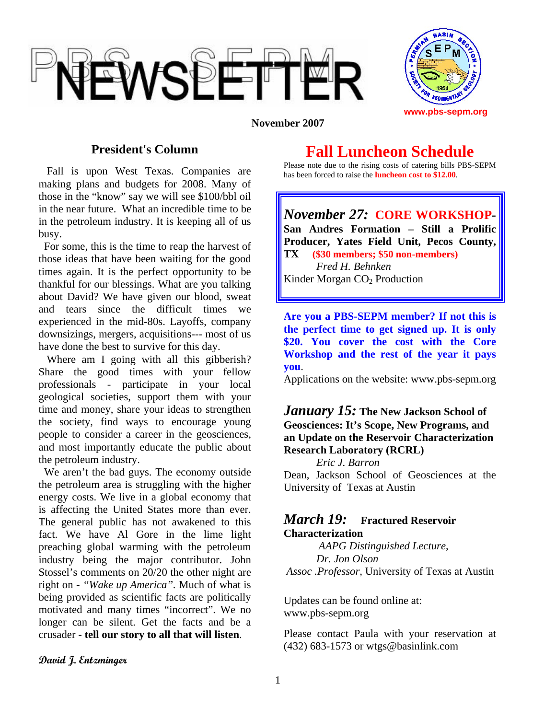



#### **November 2007**

## **President's Column**

 Fall is upon West Texas. Companies are making plans and budgets for 2008. Many of those in the "know" say we will see \$100/bbl oil in the near future. What an incredible time to be in the petroleum industry. It is keeping all of us busy.

 For some, this is the time to reap the harvest of those ideas that have been waiting for the good times again. It is the perfect opportunity to be thankful for our blessings. What are you talking about David? We have given our blood, sweat and tears since the difficult times we experienced in the mid-80s. Layoffs, company downsizings, mergers, acquisitions--- most of us have done the best to survive for this day.

Where am I going with all this gibberish? Share the good times with your fellow professionals - participate in your local geological societies, support them with your time and money, share your ideas to strengthen the society, find ways to encourage young people to consider a career in the geosciences, and most importantly educate the public about the petroleum industry.

 We aren't the bad guys. The economy outside the petroleum area is struggling with the higher energy costs. We live in a global economy that is affecting the United States more than ever. The general public has not awakened to this fact. We have Al Gore in the lime light preaching global warming with the petroleum industry being the major contributor. John Stossel's comments on 20/20 the other night are right on - *"Wake up America".* Much of what is being provided as scientific facts are politically motivated and many times "incorrect". We no longer can be silent. Get the facts and be a crusader - **tell our story to all that will listen**.

## **Fall Luncheon Schedule**

Please note due to the rising costs of catering bills PBS-SEPM has been forced to raise the **luncheon cost to \$12.00**.

*November 27:* **CORE WORKSHOP-San Andres Formation – Still a Prolific Producer, Yates Field Unit, Pecos County, TX (\$30 members; \$50 non-members)**   *Fred H. Behnken*  Kinder Morgan CO<sub>2</sub> Production

**Are you a PBS-SEPM member? If not this is the perfect time to get signed up. It is only \$20. You cover the cost with the Core Workshop and the rest of the year it pays you**.

Applications on the website: www.pbs-sepm.org

#### *January 15:* **The New Jackson School of Geosciences: It's Scope, New Programs, and an Update on the Reservoir Characterization Research Laboratory (RCRL)**

*Eric J. Barron*  Dean, Jackson School of Geosciences at the University of Texas at Austin

### *March 19:* **Fractured Reservoir Characterization**

*AAPG Distinguished Lecture*, *Dr. Jon Olson Assoc .Professor,* University of Texas at Austin

Updates can be found online at: www.pbs-sepm.org

Please contact Paula with your reservation at (432) 683-1573 or wtgs@basinlink.com

**David J. Entzminger**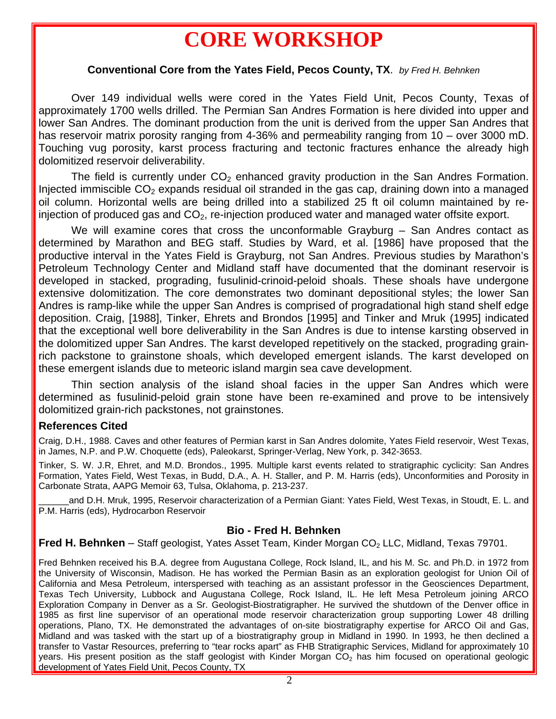# **CORE WORKSHOP**

#### **Conventional Core from the Yates Field, Pecos County, TX**. *by Fred H. Behnken*

 Over 149 individual wells were cored in the Yates Field Unit, Pecos County, Texas of approximately 1700 wells drilled. The Permian San Andres Formation is here divided into upper and lower San Andres. The dominant production from the unit is derived from the upper San Andres that has reservoir matrix porosity ranging from 4-36% and permeability ranging from 10 – over 3000 mD. Touching vug porosity, karst process fracturing and tectonic fractures enhance the already high dolomitized reservoir deliverability.

The field is currently under  $CO<sub>2</sub>$  enhanced gravity production in the San Andres Formation. Injected immiscible  $CO<sub>2</sub>$  expands residual oil stranded in the gas cap, draining down into a managed oil column. Horizontal wells are being drilled into a stabilized 25 ft oil column maintained by reinjection of produced gas and  $CO<sub>2</sub>$ , re-injection produced water and managed water offsite export.

We will examine cores that cross the unconformable Grayburg – San Andres contact as determined by Marathon and BEG staff. Studies by Ward, et al. [1986] have proposed that the productive interval in the Yates Field is Grayburg, not San Andres. Previous studies by Marathon's Petroleum Technology Center and Midland staff have documented that the dominant reservoir is developed in stacked, prograding, fusulinid-crinoid-peloid shoals. These shoals have undergone extensive dolomitization. The core demonstrates two dominant depositional styles; the lower San Andres is ramp-like while the upper San Andres is comprised of progradational high stand shelf edge deposition. Craig, [1988], Tinker, Ehrets and Brondos [1995] and Tinker and Mruk (1995] indicated that the exceptional well bore deliverability in the San Andres is due to intense karsting observed in the dolomitized upper San Andres. The karst developed repetitively on the stacked, prograding grainrich packstone to grainstone shoals, which developed emergent islands. The karst developed on these emergent islands due to meteoric island margin sea cave development.

 Thin section analysis of the island shoal facies in the upper San Andres which were determined as fusulinid-peloid grain stone have been re-examined and prove to be intensively dolomitized grain-rich packstones, not grainstones.

#### **References Cited**

Craig, D.H., 1988. Caves and other features of Permian karst in San Andres dolomite, Yates Field reservoir, West Texas, in James, N.P. and P.W. Choquette (eds), Paleokarst, Springer-Verlag, New York, p. 342-3653.

Tinker, S. W. J.R, Ehret, and M.D. Brondos., 1995. Multiple karst events related to stratigraphic cyclicity: San Andres Formation, Yates Field, West Texas, in Budd, D.A., A. H. Staller, and P. M. Harris (eds), Unconformities and Porosity in Carbonate Strata, AAPG Memoir 63, Tulsa, Oklahoma, p. 213-237.

and D.H. Mruk, 1995, Reservoir characterization of a Permian Giant: Yates Field, West Texas, in Stoudt, E. L. and P.M. Harris (eds), Hydrocarbon Reservoir

#### **Bio - Fred H. Behnken**

**Fred H. Behnken** – Staff geologist, Yates Asset Team, Kinder Morgan CO<sub>2</sub> LLC, Midland, Texas 79701.

Fred Behnken received his B.A. degree from Augustana College, Rock Island, IL, and his M. Sc. and Ph.D. in 1972 from the University of Wisconsin, Madison. He has worked the Permian Basin as an exploration geologist for Union Oil of California and Mesa Petroleum, interspersed with teaching as an assistant professor in the Geosciences Department, Texas Tech University, Lubbock and Augustana College, Rock Island, IL. He left Mesa Petroleum joining ARCO Exploration Company in Denver as a Sr. Geologist-Biostratigrapher. He survived the shutdown of the Denver office in 1985 as first line supervisor of an operational mode reservoir characterization group supporting Lower 48 drilling operations, Plano, TX. He demonstrated the advantages of on-site biostratigraphy expertise for ARCO Oil and Gas, Midland and was tasked with the start up of a biostratigraphy group in Midland in 1990. In 1993, he then declined a transfer to Vastar Resources, preferring to "tear rocks apart" as FHB Stratigraphic Services, Midland for approximately 10 years. His present position as the staff geologist with Kinder Morgan CO<sub>2</sub> has him focused on operational geologic development of Yates Field Unit, Pecos County, TX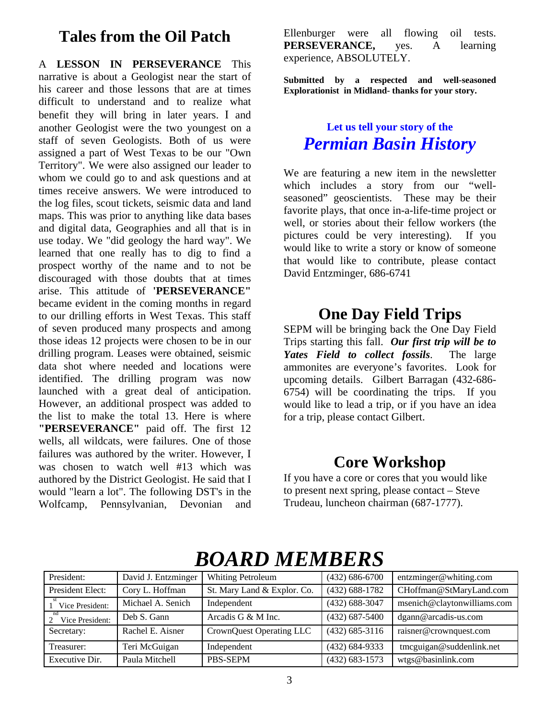## **Tales from the Oil Patch**

A **LESSON IN PERSEVERANCE** This narrative is about a Geologist near the start of his career and those lessons that are at times difficult to understand and to realize what benefit they will bring in later years. I and another Geologist were the two youngest on a staff of seven Geologists. Both of us were assigned a part of West Texas to be our "Own Territory". We were also assigned our leader to whom we could go to and ask questions and at times receive answers. We were introduced to the log files, scout tickets, seismic data and land maps. This was prior to anything like data bases and digital data, Geographies and all that is in use today. We "did geology the hard way". We learned that one really has to dig to find a prospect worthy of the name and to not be discouraged with those doubts that at times arise. This attitude of **'PERSEVERANCE"** became evident in the coming months in regard to our drilling efforts in West Texas. This staff of seven produced many prospects and among those ideas 12 projects were chosen to be in our drilling program. Leases were obtained, seismic data shot where needed and locations were identified. The drilling program was now launched with a great deal of anticipation. However, an additional prospect was added to the list to make the total 13. Here is where **"PERSEVERANCE"** paid off. The first 12 wells, all wildcats, were failures. One of those failures was authored by the writer. However, I was chosen to watch well #13 which was authored by the District Geologist. He said that I would "learn a lot". The following DST's in the Wolfcamp, Pennsylvanian, Devonian and Ellenburger were all flowing oil tests. **PERSEVERANCE,** yes. A learning experience, ABSOLUTELY.

**Submitted by a respected and well-seasoned Explorationist in Midland- thanks for your story.** 

## **Let us tell your story of the**  *Permian Basin History*

We are featuring a new item in the newsletter which includes a story from our "wellseasoned" geoscientists. These may be their favorite plays, that once in-a-life-time project or well, or stories about their fellow workers (the pictures could be very interesting). If you would like to write a story or know of someone that would like to contribute, please contact David Entzminger, 686-6741

## **One Day Field Trips**

SEPM will be bringing back the One Day Field Trips starting this fall. *Our first trip will be to Yates Field to collect fossils*. The large ammonites are everyone's favorites. Look for upcoming details. Gilbert Barragan (432-686- 6754) will be coordinating the trips. If you would like to lead a trip, or if you have an idea for a trip, please contact Gilbert.

## **Core Workshop**

If you have a core or cores that you would like to present next spring, please contact – Steve Trudeau, luncheon chairman (687-1777).

| President:       | David J. Entzminger | <b>Whiting Petroleum</b>    | $(432)$ 686-6700   | entzminger@whiting.com      |
|------------------|---------------------|-----------------------------|--------------------|-----------------------------|
| President Elect: | Cory L. Hoffman     | St. Mary Land & Explor. Co. | $(432) 688 - 1782$ | CHoffman@StMaryLand.com     |
| Vice President:  | Michael A. Senich   | Independent                 | $(432)$ 688-3047   | msenich@claytonwilliams.com |
| Vice President:  | Deb S. Gann         | Arcadis G & M Inc.          | $(432)$ 687-5400   | dgann@arcadis-us.com        |
| Secretary:       | Rachel E. Aisner    | CrownQuest Operating LLC    | $(432)$ 685-3116   | raisner@crownquest.com      |
| Treasurer:       | Teri McGuigan       | Independent                 | $(432)$ 684-9333   | tmcguigan@suddenlink.net    |
| Executive Dir.   | Paula Mitchell      | <b>PBS-SEPM</b>             | $(432) 683 - 1573$ | wtgs@basinlink.com          |

# *BOARD MEMBERS*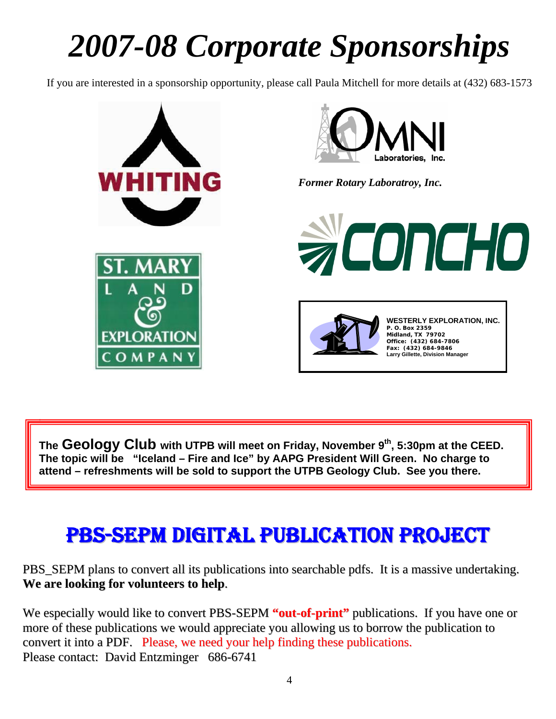# *2007-08 Corporate Sponsorships*

If you are interested in a sponsorship opportunity, please call Paula Mitchell for more details at (432) 683-1573



The **Geology Club** with UTPB will meet on Friday, November 9<sup>th</sup>, 5:30pm at the CEED. **The topic will be "Iceland – Fire and Ice" by AAPG President Will Green. No charge to attend – refreshments will be sold to support the UTPB Geology Club. See you there.** 

.

I

# PBS-SEPM DIGITAL PUBLICATION PROJECT

PBS\_SEPM plans to convert all its publications into searchable pdfs. It is a massive undertaking. **We are looking for volunteers to help**.

We especially would like to convert PBS-SEPM **"out-of-print"** publications. If you have one or more of these publications we would appreciate you allowing us to borrow the publication to convert it into a PDF. Please, we need your help finding these publications. Please contact: David Entzminger 686-6741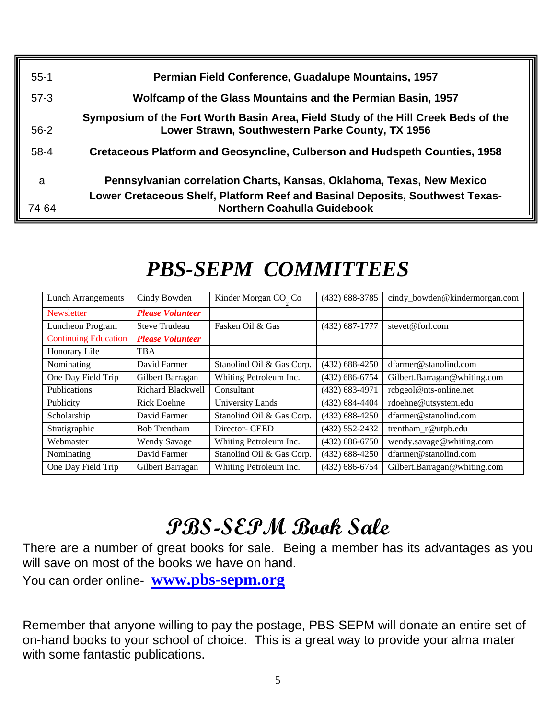| $55 - 1$ | Permian Field Conference, Guadalupe Mountains, 1957                                                                                                   |
|----------|-------------------------------------------------------------------------------------------------------------------------------------------------------|
| $57-3$   | Wolfcamp of the Glass Mountains and the Permian Basin, 1957                                                                                           |
| $56-2$   | Symposium of the Fort Worth Basin Area, Field Study of the Hill Creek Beds of the<br>Lower Strawn, Southwestern Parke County, TX 1956                 |
| $58 - 4$ | <b>Cretaceous Platform and Geosyncline, Culberson and Hudspeth Counties, 1958</b>                                                                     |
| a        | Pennsylvanian correlation Charts, Kansas, Oklahoma, Texas, New Mexico<br>Lower Cretaceous Shelf, Platform Reef and Basinal Deposits, Southwest Texas- |
| 74-64    | <b>Northern Coahulla Guidebook</b>                                                                                                                    |

| <b>Lunch Arrangements</b>   | Cindy Bowden             | Kinder Morgan CO Co       | $(432)$ 688-3785   | cindy bowden@kindermorgan.com |
|-----------------------------|--------------------------|---------------------------|--------------------|-------------------------------|
| Newsletter                  | <b>Please Volunteer</b>  |                           |                    |                               |
| Luncheon Program            | <b>Steve Trudeau</b>     | Fasken Oil & Gas          | $(432) 687 - 1777$ | stevet@forl.com               |
| <b>Continuing Education</b> | <b>Please Volunteer</b>  |                           |                    |                               |
| Honorary Life               | <b>TBA</b>               |                           |                    |                               |
| Nominating                  | David Farmer             | Stanolind Oil & Gas Corp. | $(432) 688 - 4250$ | dfarmer@stanolind.com         |
| One Day Field Trip          | Gilbert Barragan         | Whiting Petroleum Inc.    | $(432) 686 - 6754$ | Gilbert.Barragan@whiting.com  |
| Publications                | <b>Richard Blackwell</b> | Consultant                | $(432) 683 - 4971$ | rcbgeol@nts-online.net        |
| Publicity                   | Rick Doehne              | <b>University Lands</b>   | $(432) 684 - 4404$ | rdoehne@utsystem.edu          |
| Scholarship                 | David Farmer             | Stanolind Oil & Gas Corp. | $(432) 688 - 4250$ | dfarmer@stanolind.com         |
| Stratigraphic               | <b>Bob Trentham</b>      | Director- CEED            | $(432) 552 - 2432$ | trentham_r@utpb.edu           |
| Webmaster                   | <b>Wendy Savage</b>      | Whiting Petroleum Inc.    | $(432) 686 - 6750$ | wendy.savage@whiting.com      |
| Nominating                  | David Farmer             | Stanolind Oil & Gas Corp. | $(432) 688 - 4250$ | dfarmer@stanolind.com         |
| One Day Field Trip          | Gilbert Barragan         | Whiting Petroleum Inc.    | $(432) 686 - 6754$ | Gilbert.Barragan@whiting.com  |

# *PBS-SEPM COMMITTEES*

 $\overline{a}$ 

# **PBS-SEPM Book Sale**

There are a number of great books for sale. Being a member has its advantages as you will save on most of the books we have on hand.

You can order online- **www.pbs-sepm.org**

Remember that anyone willing to pay the postage, PBS-SEPM will donate an entire set of on-hand books to your school of choice. This is a great way to provide your alma mater with some fantastic publications.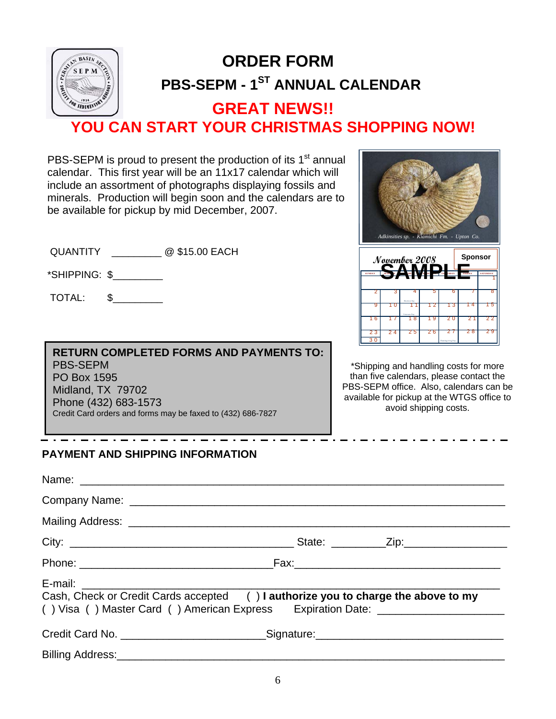

# **PBS-SEPM - 1<sup>ST</sup> ANNUAL CALENDAR ORDER FORM**

## **GREAT NEWS!! YOU CAN START YOUR CHRISTMAS SHOPPING NOW!**

PBS-SEPM is proud to present the production of its 1<sup>st</sup> annual calendar. This first year will be an 11x17 calendar which will include an assortment of photographs displaying fossils and minerals. Production will begin soon and the calendars are to be available for pickup by mid December, 2007.

QUANTITY \_\_\_\_\_\_\_\_\_ @ \$15.00 EACH

\*SHIPPING: \$\_\_\_\_\_\_\_\_\_

TOTAL: \$\_\_\_\_\_\_\_\_\_

**RETURN COMPLETED FORMS AND PAYMENTS TO:**  PBS-SEPM PO Box 1595 Midland, TX 79702 Phone (432) 683-1573 Credit Card orders and forms may be faxed to (432) 686-7827

1 2 3 4 5 6 7 8 9 10 11 12 13 14 15 16 17 18 19 20 21 2 2 2 3 2 4 25 26 27 28 29 3 0 SUNDAY MONDAY MEED SDAY WEST THE SDAY FRIDAY SATURDAY E le ctio n Day  $N$ ayember 2008 **Sponsor** *Adkinsities sp. - Kiamichi Fm. - Upton Co.*  **SAMPLE**

\*Shipping and handling costs for more than five calendars, please contact the PBS-SEPM office. Also, calendars can be available for pickup at the WTGS office to avoid shipping costs.

### - . - . - . - . - . - . - . - . -**PAYMENT AND SHIPPING INFORMATION**

| Cash, Check or Credit Cards accepted () I authorize you to charge the above to my | () Visa () Master Card () American Express Expiration Date: ____________________  |
|-----------------------------------------------------------------------------------|-----------------------------------------------------------------------------------|
|                                                                                   | Credit Card No. _______________________________Signature:________________________ |
|                                                                                   |                                                                                   |